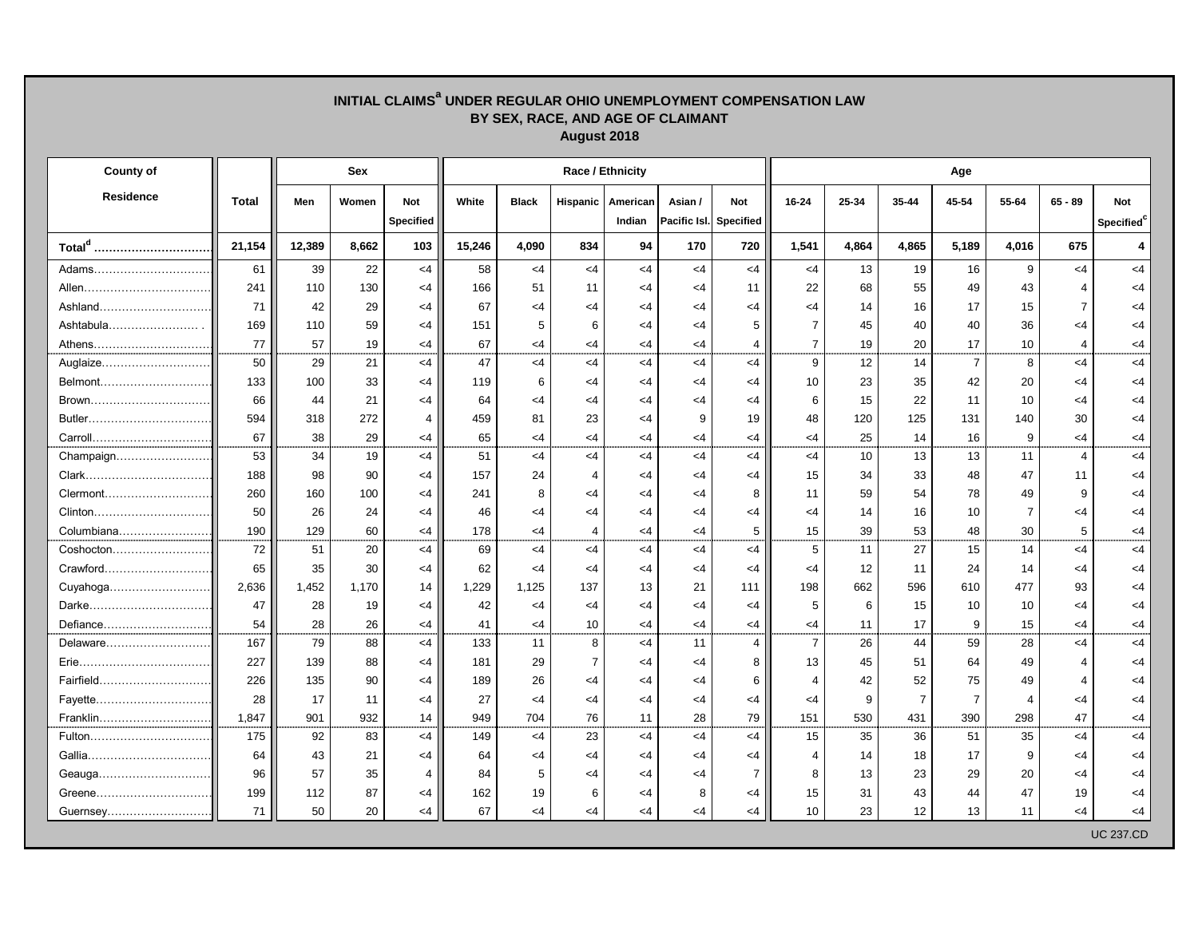| INITIAL CLAIMS <sup>a</sup> UNDER REGULAR OHIO UNEMPLOYMENT COMPENSATION LAW<br>BY SEX, RACE, AND AGE OF CLAIMANT<br>August 2018 |              |        |            |                                |        |              |                 |                    |          |                                      |                 |                 |                |                |                |           |                                      |  |
|----------------------------------------------------------------------------------------------------------------------------------|--------------|--------|------------|--------------------------------|--------|--------------|-----------------|--------------------|----------|--------------------------------------|-----------------|-----------------|----------------|----------------|----------------|-----------|--------------------------------------|--|
| <b>County of</b>                                                                                                                 |              |        | <b>Sex</b> |                                |        |              |                 | Race / Ethnicity   |          | Age                                  |                 |                 |                |                |                |           |                                      |  |
| <b>Residence</b>                                                                                                                 | <b>Total</b> | Men    | Women      | <b>Not</b><br><b>Specified</b> | White  | <b>Black</b> | <b>Hispanic</b> | American<br>Indian | Asian /  | <b>Not</b><br>Pacific Isl. Specified | 16-24           | 25-34           | 35-44          | 45-54          | 55-64          | $65 - 89$ | <b>Not</b><br>Specified <sup>c</sup> |  |
| Total <sup>d</sup>                                                                                                               | 21,154       | 12,389 | 8,662      | 103                            | 15,246 | 4,090        | 834             | 94                 | 170      | 720                                  | 1,541           | 4,864           | 4,865          | 5,189          | 4,016          | 675       | $\overline{4}$                       |  |
| Adams                                                                                                                            | 61           | 39     | 22         | $<$ 4                          | 58     | $<$ 4        | $\leq$ 4        | $<$ 4              | $<$ 4    | $\leq$ 4                             | $<$ 4           | 13              | 19             | 16             | 9              | $\leq$ 4  | $<$ 4                                |  |
|                                                                                                                                  | 241          | 110    | 130        | <4                             | 166    | 51           | 11              | <4                 | <4       | 11                                   | 22              | 68              | 55             | 49             | 43             |           | <4                                   |  |
|                                                                                                                                  | 71           | 42     | 29         | <4                             | 67     | <4           | <4              | $\leq$ 4           | <4       | <4                                   | <4              | 14              | 16             | 17             | 15             |           | $<$ 4                                |  |
| Ashtabula                                                                                                                        | 169          | 110    | 59         | <4                             | 151    | 5            | 6               | <4                 | $\leq$ 4 | 5                                    |                 | 45              | 40             | 40             | 36             | <4        | <4                                   |  |
| Athens                                                                                                                           | 77           | 57     | 19         | <4                             | 67     | $\leq$ 4     | <4              | $\leq$ 4           | $\leq$ 4 |                                      | $\overline{7}$  | 19              | 20             | 17             | 10             | 4         | $<$ 4                                |  |
| Auglaize                                                                                                                         | 50           | 29     | 21         | <4                             | 47     | $\leq$ 4     | $\leq$ 4        | $<$ 4              | $<$ 4    | $\leq 4$                             | 9               | 12 <sub>2</sub> | 14             | $\overline{7}$ | 8              | $\leq$ 4  | $<$ 4                                |  |
| Belmont                                                                                                                          | 133          | 100    | 33         | <4                             | 119    | 6            | <4              | <4                 | <4       | <4                                   | 10              | 23              | 35             | 42             | 20             | <4        | $<$ 4                                |  |
|                                                                                                                                  | 66           | 44     | 21         | <4                             | 64     | $\leq$ 4     | <4              | $\leq 4$           | $<$ 4    | <4                                   | 6               | 15              | 22             | 11             | 10             | <4        | $<$ 4                                |  |
|                                                                                                                                  | 594          | 318    | 272        | 4                              | 459    | 81           | 23              | <4                 | 9        | 19                                   | 48              | 120             | 125            | 131            | 140            | 30        | $<$ 4                                |  |
|                                                                                                                                  | 67           | 38     | 29         | <4                             | 65     | <4           | <4              | $\leq$ 4           | $\leq$ 4 | $\leq$ 4                             | $\leq$ 4        | 25              | 14             | 16             | 9              | $<$ 4     | $<$ 4                                |  |
| Champaign                                                                                                                        | 53           | 34     | 19         | <4                             | 51     | $\leq$ 4     | $\leq$ 4        | $<$ 4              | $<$ 4    | $\leq 4$                             | <4              | 10              | 13             | 13             | 11             | 4         | $<$ 4                                |  |
|                                                                                                                                  | 188          | 98     | 90         | <4                             | 157    | 24           |                 | <4                 | $\leq$ 4 | <4                                   | 15              | 34              | 33             | 48             | 47             | 11        | $<$ 4                                |  |
| Clermont                                                                                                                         | 260          | 160    | 100        | <4                             | 241    | 8            | <4              | $\leq 4$           | $\leq$ 4 | 8                                    | 11              | 59              | 54             | 78             | 49             | 9         | $<$ 4                                |  |
| Clinton                                                                                                                          | 50           | 26     | 24         | <4                             | 46     | <4           | <4              | $\leq$ 4           | $<$ 4    | <4                                   | <4              | 14              | 16             | 10             | $\overline{7}$ | <4        | $<$ 4                                |  |
| Columbiana                                                                                                                       | 190          | 129    | 60         | <4                             | 178    | $\leq$ 4     |                 | $\leq$ 4           | $<$ 4    | 5                                    | 15              | 39              | 53             | 48             | 30             | 5         | <4                                   |  |
| Coshocton                                                                                                                        | 72           | 51     | 20         | $\leq$ 4                       | 69     | $<$ 4        | $\leq$ 4        | $<$ 4              | <4       | $\leq 4$                             | 5               | 11              | 27             | 15             | 14             | $\leq$ 4  | $<$ 4                                |  |
| Crawford                                                                                                                         | 65           | 35     | 30         | <4                             | 62     | <4           | <4              | <4                 | <4       | <4                                   | <4              | 12              | 11             | 24             | 14             | <4        | $<$ 4                                |  |
|                                                                                                                                  | 2,636        | 1,452  | 1,170      | 14                             | 1,229  | 1,125        | 137             | 13                 | 21       | 111                                  | 198             | 662             | 596            | 610            | 477            | 93        | $<$ 4                                |  |
| Darke                                                                                                                            | 47           | 28     | 19         | <4                             | 42     | <4           | <4              | $\leq 4$           | <4       | <4                                   | 5               | 6               | 15             | 10             | 10             | $\leq$ 4  | <4                                   |  |
| Defiance                                                                                                                         | 54           | 28     | 26         | $<$ 4                          | 41     | $<$ 4        | 10              | $\leq$ 4           | $\leq 4$ | $<$ 4                                | $<$ 4           | 11              | 17             | 9              | 15             | $<$ 4     | $<$ 4                                |  |
| Delaware                                                                                                                         | 167          | 79     | 88         | $<$ 4                          | 133    | 11           | 8               | $<$ 4              | 11       | 4                                    | $\overline{7}$  | 26              | 44             | 59             | 28             | $<$ 4     | $<$ 4                                |  |
|                                                                                                                                  | 227          | 139    | 88         | $\leq$ 4                       | 181    | 29           | $\overline{7}$  | $\leq$ 4           | $\leq$ 4 |                                      | 13              | 45              | 51             | 64             | 49             |           | <4                                   |  |
| Fairfield                                                                                                                        | 226          | 135    | 90         | <4                             | 189    | 26           | <4              | $\leq$ 4           | $<$ 4    | 6                                    |                 | 42              | 52             | 75             | 49             | 4         | <4                                   |  |
|                                                                                                                                  | 28           | 17     | 11         | <4                             | 27     | <4           | <4              | $\leq$ 4           | $\leq$ 4 | <4                                   | <4              | 9               | $\overline{7}$ | 7              | $\overline{4}$ | <4        | <4                                   |  |
|                                                                                                                                  | 1,847        | 901    | 932        | 14                             | 949    | 704          | 76              | 11                 | 28       | 79                                   | 151             | 530             | 431            | 390            | 298            | 47        | <4                                   |  |
| Fulton                                                                                                                           | 175          | 92     | 83         | $<$ 4                          | 149    | $<$ 4        | 23              | $<$ 4              | $<$ 4    | $<$ 4                                | 15              | 35              | 36             | 51             | 35             | $<$ 4     | $<$ 4                                |  |
|                                                                                                                                  | 64           | 43     | 21         | $<$ 4                          | 64     | $<$ 4        | <4              | $\leq$ 4           | $\leq 4$ | <4                                   |                 | 14              | 18             | 17             | 9              | $<$ 4     | <4                                   |  |
| Geauga                                                                                                                           | 96           | 57     | 35         | $\overline{4}$                 | 84     | 5            | <4              | $\leq$ 4           | $<$ 4    |                                      | 8               | 13              | 23             | 29             | 20             | $<$ 4     | <4                                   |  |
| Greene                                                                                                                           | 199          | 112    | 87         | $\leq$ 4                       | 162    | 19           | 6               | $\leq$ 4           | 8        | <4                                   | 15              | 31              | 43             | 44             | 47             | 19        | $<$ 4                                |  |
| Guernsey                                                                                                                         | 71           | 50     | 20         | $<$ 4                          | 67     | $\leq$ 4     | <4              | $\leq$ 4           | $\leq$ 4 | <4                                   | 10 <sup>°</sup> | 23              | 12             | 13             | 11             | $\leq$ 4  | <4                                   |  |
|                                                                                                                                  |              |        |            |                                |        |              |                 |                    |          |                                      |                 |                 |                |                |                |           | <b>UC 237.CD</b>                     |  |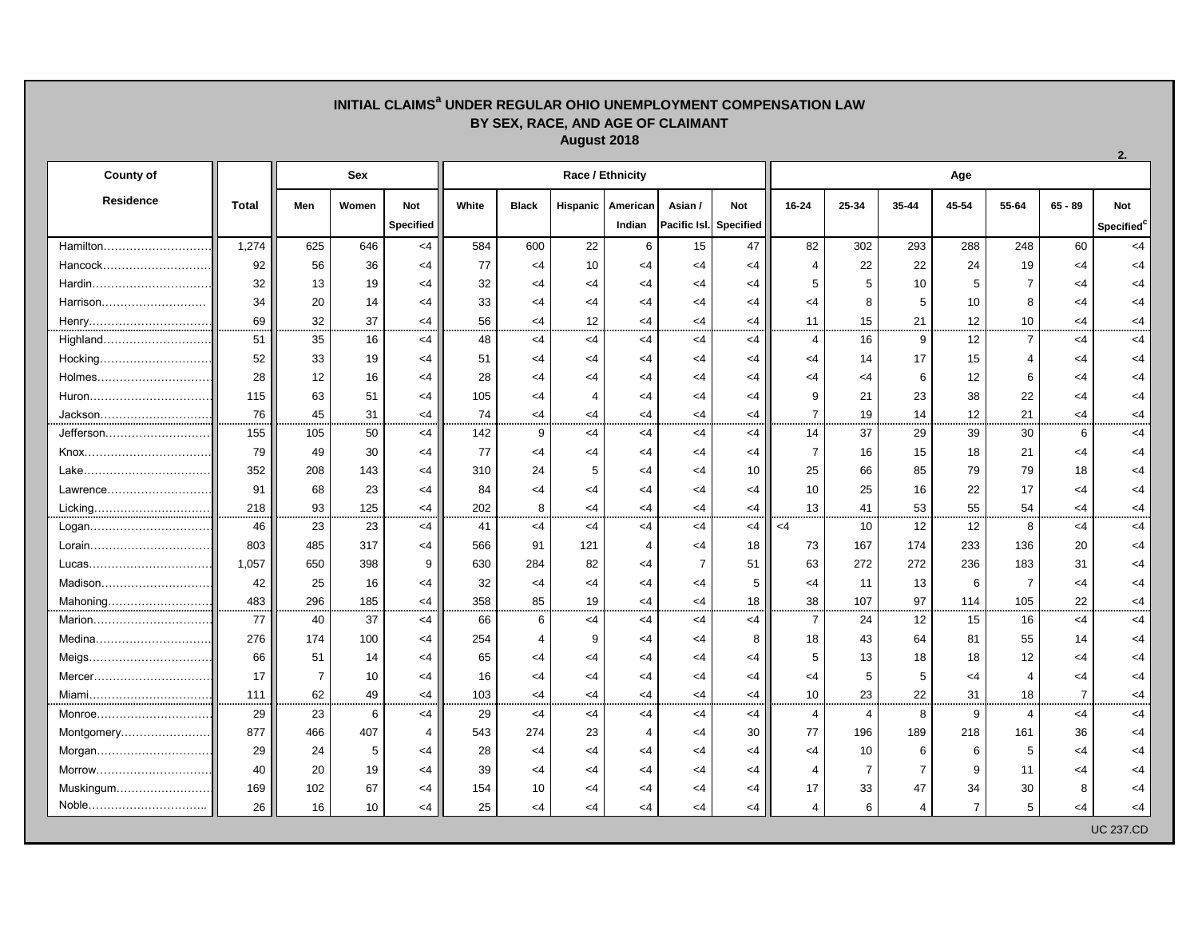## **INITIAL CLAIMS<sup>a</sup> UNDER REGULAR OHIO UNEMPLOYMENT COMPENSATION LAW BY SEX, RACE, AND AGE OF CLAIMANT August 2018**

**2.**

| <b>County of</b> |              | <b>Sex</b>     |                 |                  |       |                 |          | <b>Race / Ethnicity</b> |                        |          | Age            |       |                |                 |                |                |                        |  |  |
|------------------|--------------|----------------|-----------------|------------------|-------|-----------------|----------|-------------------------|------------------------|----------|----------------|-------|----------------|-----------------|----------------|----------------|------------------------|--|--|
| <b>Residence</b> | <b>Total</b> | Men            | Women           | <b>Not</b>       | White | <b>Black</b>    | Hispanic | American                | Asian /                | Not      | 16-24          | 25-34 | 35-44          | 45-54           | 55-64          | $65 - 89$      | <b>Not</b>             |  |  |
|                  |              |                |                 | <b>Specified</b> |       |                 |          | Indian                  | Pacific Isl. Specified |          |                |       |                |                 |                |                | Specified <sup>c</sup> |  |  |
| Hamilton         | 1,274        | 625            | 646             | $<$ 4            | 584   | 600             | 22       | $6\phantom{1}6$         | 15                     | 47       | 82             | 302   | 293            | 288             | 248            | 60             | $<$ 4                  |  |  |
| Hancock          | 92           | 56             | 36              | $\leq$ 4         | 77    | $\leq$ 4        | 10       | <4                      | <4                     | <4       | 4              | 22    | 22             | 24              | 19             | <4             | <4                     |  |  |
| Hardin           | 32           | 13             | 19              | <4               | 32    | <4              | <4       | <4                      | $\leq$ 4               | <4       | 5              | 5     | 10             |                 |                | <4             | <4                     |  |  |
| Harrison         | 34           | 20             | 14              | <4               | 33    | <4              | <4       | <4                      | $\leq$ 4               | <4       | <4             | 8     | 5              | 10              |                | <4             | <4                     |  |  |
| Henry            | 69           | 32             | 37              | <4               | 56    | $\leq$ 4        | 12       | <4                      | $<$ 4                  | <4       | 11             | 15    | 21             | 12 <sub>2</sub> | 10             | <4             | $\leq$ 4               |  |  |
| Highland         | 51           | 35             | 16              | $\leq$ 4         | 48    | $<$ 4           | $\leq$ 4 | $\leq$ 4                | $<$ 4                  | $\leq$ 4 | $\overline{4}$ | 16    | 9              | 12              | $\overline{7}$ | $<$ 4          | $\leq$ 4               |  |  |
|                  | 52           | 33             | 19              | <4               | 51    | <4              | <4       | <4                      | <4                     | <4       | <4             | 14    | 17             | 15              |                | <4             | <4                     |  |  |
| Holmes           | 28           | 12             | 16              | <4               | 28    | <4              | <4       | <4                      | $\leq$ 4               | <4       | <4             | <4    | 6              | 12              | 6              | <4             | <4                     |  |  |
| Huron            | 115          | 63             | 51              | $\leq$ 4         | 105   | $\leq$ 4        |          | <4                      | <4                     | <4       | 9              | 21    | 23             | 38              | 22             | <4             | <4                     |  |  |
| Jackson          | 76           | 45             | 31              | <4               | 74    | $<$ 4           | <4       | <4                      | $<$ 4                  | <4       | $\overline{7}$ | 19    | 14             | 12              | 21             | $<$ 4          | $\leq$ 4               |  |  |
| Jefferson        | 155          | 105            | 50              | $<$ 4            | 142   | 9               | $<$ 4    | $\leq$ 4                | $<$ 4                  | $<$ 4    | 14             | 37    | 29             | 39              | 30             | $\,6\,$        | $<$ 4                  |  |  |
|                  | 79           | 49             | 30              | <4               | 77    | <4              | <4       | <4                      | $\leq$ 4               | <4       | $\overline{7}$ | 16    | 15             | 18              | 21             | <4             | <4                     |  |  |
|                  | 352          | 208            | 143             | <4               | 310   | 24              | 5        | <4                      | <4                     | 10       | 25             | 66    | 85             | 79              | 79             | 18             | <4                     |  |  |
| Lawrence         | 91           | 68             | 23              | <4               | 84    | <4              | <4       | <4                      | $<$ 4                  | <4       | 10             | 25    | 16             | 22              | 17             | <4             | <4                     |  |  |
|                  | 218          | 93             | 125             | <4               | 202   | 8               | $\leq$ 4 | <4                      | $<$ 4                  | <4       | 13             | 41    | 53             | 55              | 54             | <4             | $\leq$ 4               |  |  |
| Logan            | 46           | 23             | 23              | $<$ 4            | 41    | $<$ 4           | $\leq$ 4 | $<$ 4                   | $<$ 4                  | $\leq$ 4 | $<$ 4          | 10    | 12             | 12              | 8              | $<$ 4          | $<$ 4                  |  |  |
| Lorain           | 803          | 485            | 317             | <4               | 566   | 91              | 121      |                         | $\leq$ 4               | 18       | 73             | 167   | 174            | 233             | 136            | 20             | <4                     |  |  |
| Lucas            | 1,057        | 650            | 398             | -9               | 630   | 284             | 82       | <4                      |                        | 51       | 63             | 272   | 272            | 236             | 183            | 31             | <4                     |  |  |
|                  | 42           | 25             | 16              | <4               | 32    | $\leq$ 4        | <4       | <4                      | <4                     | 5        | <4             | 11    | 13             | 6               | $\overline{7}$ | <4             | <4                     |  |  |
|                  | 483          | 296            | 185             | <4               | 358   | 85              | 19       | <4                      | $\leq$ 4               | 18       | 38             | 107   | 97             | 114             | 105            | 22             | <4                     |  |  |
|                  | 77           | 40             | 37              | $\leq 4$         | 66    | 6               | $\leq$ 4 | <4                      | $<$ 4                  | $<$ 4    | $\overline{7}$ | 24    | 12             | 15              | 16             | $<$ 4          | $<$ 4                  |  |  |
| Medina           | 276          | 174            | 100             | <4               | 254   |                 |          | <4                      | <4                     | 8        | 18             | 43    | 64             | 81              | 55             | 14             | <4                     |  |  |
| Meigs            | 66           | 51             | 14              | <4               | 65    | <4              |          | <4                      | <4                     | <4       | 5              | 13    | 18             | 18              | 12             | <4             | <4                     |  |  |
| Mercer           | 17           | $\overline{7}$ | 10              | <4               | 16    | $\leq$ 4        | <4       | <4                      | $<$ 4                  | $<$ 4    | $<$ 4          | 5     | 5              | $\leq$ 4        | 4              | $\leq 4$       | <4                     |  |  |
| Miami            | 111          | 62             | 49              | $<$ 4            | 103   | $<$ 4           | $<$ 4    | $\leq$ 4                | $<$ 4                  | $<$ 4    | 10             | 23    | 22             | 31              | 18             | $\overline{7}$ | <4                     |  |  |
| Monroe           | 29           | 23             | $6\phantom{1}6$ | $<$ 4            | 29    | $<$ 4           | $<$ 4    | $\leq$ 4                | $<$ 4                  | $<$ 4    | 4              | 4     | 8              | 9               | $\overline{4}$ | $<$ 4          | $<$ 4                  |  |  |
| Montgomery       | 877          | 466            | 407             |                  | 543   | 274             | 23       |                         | $\leq$ 4               | 30       | 77             | 196   | 189            | 218             | 161            | 36             | <4                     |  |  |
|                  | 29           | 24             | 5               | <4               | 28    | $<$ 4           | $\leq$ 4 | <4                      | $<$ 4                  | $\leq$ 4 | $<$ 4          | 10    | 6              | 6               | 5              | $\leq 4$       | $\leq$ 4               |  |  |
| Morrow           | 40           | 20             | 19              | $\leq$ 4         | 39    | $<$ 4           | $\leq$ 4 | <4                      | $<$ 4                  | $\leq$ 4 | 4              |       | $\overline{7}$ | 9               | 11             | <4             | $\leq$ 4               |  |  |
| Muskingum        | 169          | 102            | 67              | $<$ 4            | 154   | 10 <sup>°</sup> | $\leq$ 4 | <4                      | $\leq$ 4               | <4       | 17             | 33    | 47             | 34              | 30             | 8              | <4                     |  |  |
| Noble            | 26           | 16             | 10 <sup>°</sup> | <4               | 25    | $<$ 4           | <4       | $\leq 4$                | $<$ 4                  | $\leq$ 4 | 4              | 6     | 4              |                 | 5              | <4             | <4                     |  |  |
|                  |              |                |                 |                  |       |                 |          |                         |                        |          |                |       |                |                 |                |                | <b>UC 237.CD</b>       |  |  |